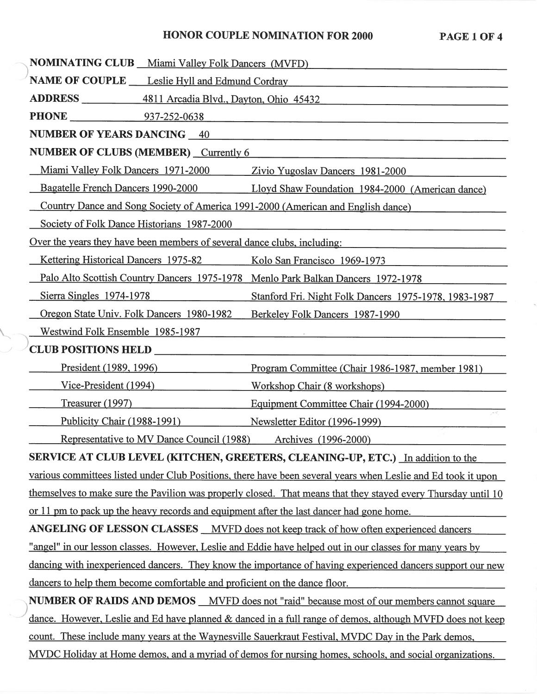### HONOR COUPLE NOMINATION FOR 2000 PAGE

| <b>NOMINATING CLUB</b> Miami Valley Folk Dancers (MVFD)                                                       |                                                                                                               |
|---------------------------------------------------------------------------------------------------------------|---------------------------------------------------------------------------------------------------------------|
| NAME OF COUPLE __ Leslie Hyll and Edmund Cordray                                                              |                                                                                                               |
| ADDRESS 4811 Arcadia Blvd., Dayton, Ohio 45432                                                                |                                                                                                               |
| <b>PHONE</b> 937-252-0638                                                                                     |                                                                                                               |
| <b>NUMBER OF YEARS DANCING 40</b>                                                                             |                                                                                                               |
| NUMBER OF CLUBS (MEMBER) Currently 6                                                                          |                                                                                                               |
| Miami Valley Folk Dancers 1971-2000 Zivio Yugoslav Dancers 1981-2000                                          |                                                                                                               |
|                                                                                                               | Bagatelle French Dancers 1990-2000 Lloyd Shaw Foundation 1984-2000 (American dance)                           |
| Country Dance and Song Society of America 1991-2000 (American and English dance)                              |                                                                                                               |
| Society of Folk Dance Historians 1987-2000                                                                    |                                                                                                               |
| Over the years they have been members of several dance clubs, including:                                      |                                                                                                               |
| <b>Kettering Historical Dancers 1975-82</b> Kolo San Francisco 1969-1973                                      |                                                                                                               |
| Palo Alto Scottish Country Dancers 1975-1978 Menlo Park Balkan Dancers 1972-1978                              |                                                                                                               |
| $Sierra$ Singles $1974-1978$                                                                                  | Stanford Fri. Night Folk Dancers 1975-1978, 1983-1987                                                         |
| Oregon State Univ. Folk Dancers 1980-1982                                                                     | Berkeley Folk Dancers 1987-1990                                                                               |
| Westwind Folk Ensemble 1985-1987                                                                              |                                                                                                               |
| <b>CLUB POSITIONS HELD</b>                                                                                    |                                                                                                               |
| President (1989, 1996)                                                                                        | Program Committee (Chair 1986-1987, member 1981)                                                              |
| <u>Vice-President (1994)</u>                                                                                  | Workshop Chair (8 workshops)                                                                                  |
| Treasurer $(1997)$                                                                                            | Equipment Committee Chair (1994-2000)                                                                         |
| Publicity Chair (1988-1991)                                                                                   | Newsletter Editor (1996-1999)                                                                                 |
| Representative to MV Dance Council (1988)<br>Archives (1996-2000)                                             |                                                                                                               |
| SERVICE AT CLUB LEVEL (KITCHEN, GREETERS, CLEANING-UP, ETC.) In addition to the                               |                                                                                                               |
|                                                                                                               | various committees listed under Club Positions, there have been several years when Leslie and Ed took it upon |
| themselves to make sure the Pavilion was properly closed. That means that they stayed every Thursday until 10 |                                                                                                               |
| or 11 pm to pack up the heavy records and equipment after the last dancer had gone home.                      |                                                                                                               |
|                                                                                                               | <b>ANGELING OF LESSON CLASSES</b> MVFD does not keep track of how often experienced dancers                   |
|                                                                                                               | "angel" in our lesson classes. However, Leslie and Eddie have helped out in our classes for many years by     |
| dancing with inexperienced dancers. They know the importance of having experienced dancers support our new    |                                                                                                               |
| dancers to help them become comfortable and proficient on the dance floor.                                    |                                                                                                               |
| NUMBER OF RAIDS AND DEMOS __ MVFD does not "raid" because most of our members cannot square                   |                                                                                                               |
| dance. However, Leslie and Ed have planned & danced in a full range of demos, although MVFD does not keep     |                                                                                                               |
| count. These include many years at the Waynesville Sauerkraut Festival, MVDC Day in the Park demos,           |                                                                                                               |
| MVDC Holiday at Home demos, and a myriad of demos for nursing homes, schools, and social organizations.       |                                                                                                               |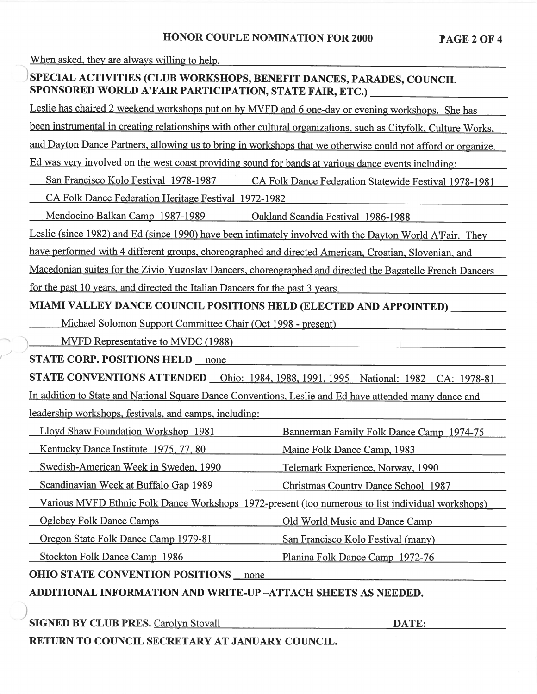When asked, they are always willing to help.

# ) SPECIAL ACTIVITIES (CLUB WORKSHOPS, BENEFIT DANCES, PARADES, COUNCIL SPONSORED WORLD A'FAIR PARTICIPATION, STATE FAIR, ETC.) \_

Leslie has chaired 2 weekend workshops put on by MVFD and 6 one-day or evening workshops. She has

been instrumental in creating relationships with other cultural organizations, such as Cityfolk, Culture Works,

and Dayton Dance Partners, allowing us to bring in workshops that we otherwise could not afford or organize.

Ed was very involved on the west coast providing sound for bands at various dance events including:

San Francisco Kolo Festival 1978-1987 CA Folk Dance Federation Statewide Festival 1978-1981

CA Folk Dance Federation Heritage Festival 1972-1982

Mendocino Balkan Camp 1987-1989 Oakland Scandia Festival 1986-1988

Leslie (since 1982) and Ed (since 1990) have been intimately involved with the Dayton World A'Fair. They

have performed with 4 different groups, choreographed and directed American, Croatian, Slovenian, and

Macedonian suites for the Zivio Yugoslav Dancers, choreographed and directed the Bagatelle French Dancers for the pas<sup>t</sup> 10 years, and directed the Italian Dancers for the pas<sup>t</sup> 3 years.

MIAMI VALLEY DANCE COUNCIL POSITIONS HELD (ELECTED AND APPOINTED) \_

Michael Solomon Support Committee Chair (Oct 1998 - present)

MVFD Representative to MVDC (1988)

STATE CORP. POSITIONS HELD

I

**STATE CONVENTIONS ATTENDED** Ohio: 1984, 1988, 1991, 1995 National: 1982 CA: 1978-81

In addition to State and National Square Dance Conventions, Leslie and Ed have attended many dance and leadership workshops, festivals, and camps, including:

Lloyd Shaw Foundation Workshop 1981 Bannerman Family Folk Dance Camp 1974-75

Kentucky Dance Institute 1975, 77, 80 Maine Folk Dance Camp, 1983

Swedish-American Week in Sweden, 1990 Telemark Experience, Norway, 1990

Scandinavian Week at Buffalo Gap 1989 Christmas Country Dance School 1987

Various MVFD Ethnic Folk Dance Workshops 1972-present (too numerous to list individual workshops)

Oglebay Folk Dance Camps

Oregon State Folk Dance Camp 1979-81

Stockton Folk Dance Camp 1986

OHIO STATE CONVENTION POSITIONS

ADDITIONAL INFORMATION AND WRITE-UP -ATTACH SHEETS AS NEEDED.

)<br>SIGNED BY CLUB PRES. Carolyn Stovall DATE:

Old World Music and Dance Camp

San Francisco Kolo Festival (many)

Planina Folk Dance Camp 1972-76

RETURN TO COUNCIL SECRETARY AT JANUARY COUNCIL.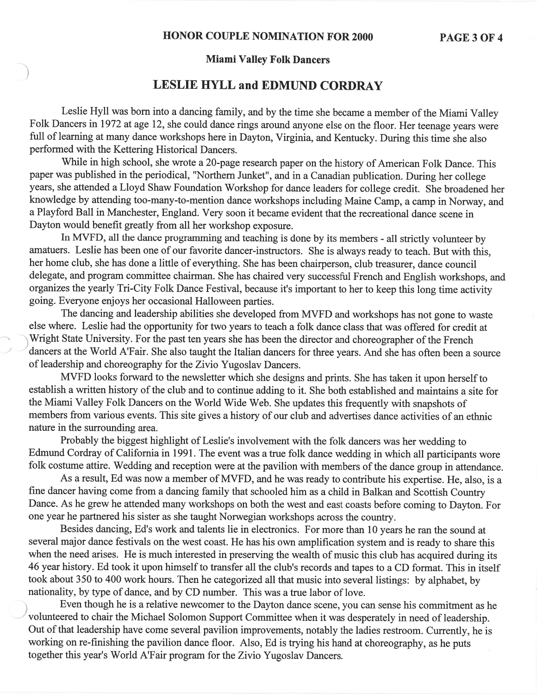#### **Miami Valley Folk Dancers**

)

/

### **LESLIE HYLL and EDMUND CORDRAY**

Leslie Hyll was born into <sup>a</sup> dancing family, and by the time she became <sup>a</sup> member ofthe Miami Valley Folk Dancers in 1972 at age 12, she could dance rings around anyone else on the floor. Her teenage years were full of learning at many dance workshops here in Dayton, Virginia, and Kentucky. During this time she also performed with the Kettering Historical Dancers.

While in high school, she wrote a 20-page research paper on the history of American Folk Dance. This paper was published in the periodical, "Northern Junket", and in <sup>a</sup> Canadian publication. During her college years, she attended <sup>a</sup> Lloyd Shaw Foundation Workshop for dance leaders for college credit. She broadened her knowledge by attending too-many-to-mention dance workshops including Maine Camp, <sup>a</sup> camp in Norway, and a Playford Ball in Manchester, England. Very soon it became evident that the recreational dance scene in Dayton would benefit greatly from all her workshop exposure.

In MVFD, all the dance programming and teaching is done by its members - all strictly volunteer by amatuers. Leslie has been one of our favorite dancer-instructors. She is always ready to teach. But with this, her home club, she has done <sup>a</sup> little of everything. She has been chairperson, club treasurer, dance council delegate, and program committee chairman. She has chaired very successful French and English workshops, and organizes the yearly Tri-City Folk Dance Festival, because it's important to her to keep this long time activity going. Everyone enjoys her occasional Halloween parties.

The dancing and leadership abilities she developed from MVFD and workshops has not gone to waste else where. Leslie had the opportunity for two years to teach <sup>a</sup> folk dance class that was offered for credit at Wright State University. For the past ten years she has been the director and choreographer of the French dancers at the World A'Fair. She also taught the Italian dancers for three years. And she has often been <sup>a</sup> source of leadership and choreography for the Zivio Yugoslav Dancers.

MVFD looks forward to the newsletter which she designs and prints. She has taken it upon herself to establish a written history of the club and to continue adding to it. She both established and maintains a site for the Miami Valley Folk Dancers on the World Wide Web. She updates this frequently with snapshots of members from various events. This site gives <sup>a</sup> history of our club and advertises dance activities of an ethnic nature in the surrounding area.

Probably the biggest highlight of Leslie's involvement with the folk dancers was her wedding to Edmund Cordray of California in 1991. The event was a true folk dance wedding in which all participants wore folk costume attire. Wedding and reception were at the pavilion with members of the dance group in attendance.

As a result, Ed was now a member of MVFD, and he was ready to contribute his expertise. He, also, is a fine dancer having come from <sup>a</sup> dancing family that schooled him as <sup>a</sup> child in Balkan and Scottish Country Dance. As he grew he attended many workshops on both the west and east coasts before coming to Dayton. For one year he partnered his sister as she taught Norwegian workshops across the country.

Besides dancing, Ed's work and talents lie in electronics. For more than 10 years he ran the sound at several major dance festivals on the west coast. He has his own amplification system and is ready to share this when the need arises. He is much interested in preserving the wealth of music this club has acquired during its 46 year history. Ed took it upon himself to transfer all the club's records and tapes to a CD format. This in itself took about 350 to 400 work hours. Then he categorized all that music into several listings: by alphabet, by nationality, by type of dance, and by CD number. This was a true labor of love.

) Even though he is <sup>a</sup> relative newcomer to the Dayton dance scene, you can sense his commitment as he volunteered to chair the Michael Solomon Support Committee when it was desperately in need ofleadership. Out of that leadership have come several pavilion improvements, notably the ladies restroom. Currently, he is working on re-finishing the pavilion dance floor. Also, Ed is trying his hand at choreography, as he puts together this year's World A'Fair program for the Zivio Yugoslav Dancers.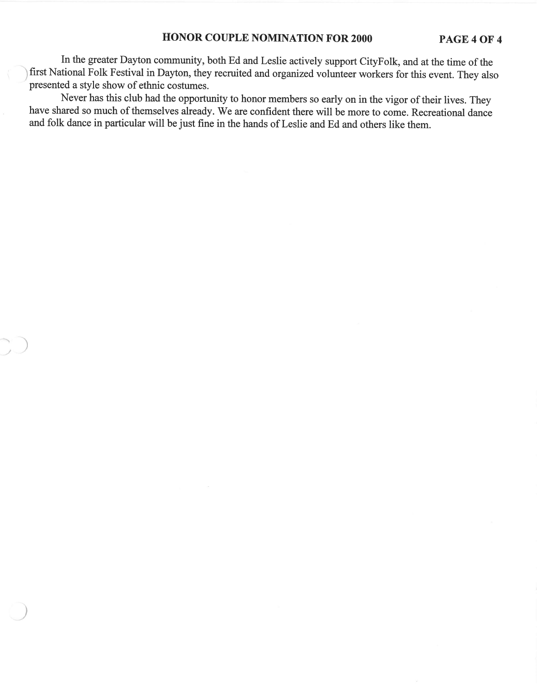#### **HONOR COUPLE NOMINATION FOR 2000 PAGE40F4**

In the greater Dayton community, both Ed and Leslie actively suppor<sup>t</sup> CityFolk, and at the time ofthe ) first National Folk Festival in Dayton, they recruited and organized volunteer workers for this event. They also presented <sup>a</sup> style show of ethnic costumes.

Never has this club had the opportunity to honor members so early on in the vigor of their lives. They have shared so much of themselves already. We are confident there will be more to come. Recreational dance and folk dance in particular will be just fine in the hands of Leslie and Ed and others like them.

)

)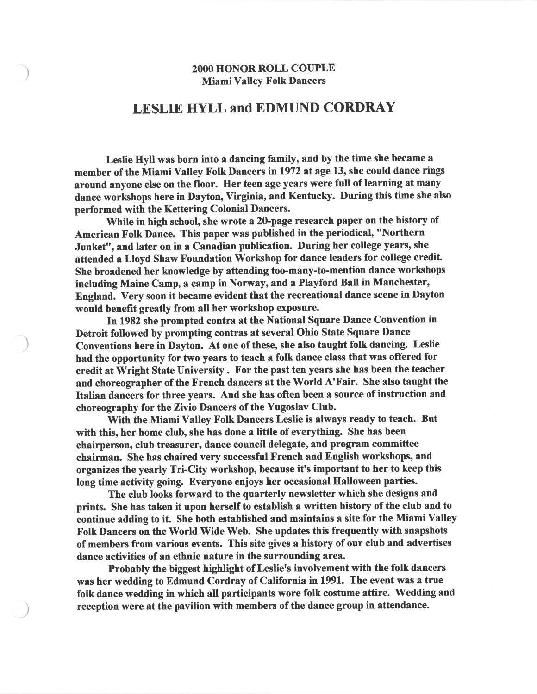#### 2000 HONOR ROLL COUPLE Miami Valley Folk Dancers

)

)

## LESLIE HYLL and EDMUND CORDRAY

Leslie Hyll was born into <sup>a</sup> dancing family, and by the time she became <sup>a</sup> member of the Miami Valley Folk Dancers in 1972 at age 13, she could dance rings around anyone else on the floor. Her teen age years were full of learning at many dance workshops here in Dayton, Virginia, and Kentucky. During this time she also performed with the Kettering Colonial Dancers.

While in high school, she wrote <sup>a</sup> 20-page research paper on the history of American Folk Dance. This paper was published in the periodical, "Northern Junket", and later on in <sup>a</sup> Canadian publication. During her college years, she attended <sup>a</sup> Lloyd Shaw Foundation Workshop for dance leaders for college credit. She broadened her knowledge by attending too-many-to-mention dance workshops including Maine Camp, <sup>a</sup> camp in Norway, and <sup>a</sup> Playford Ball in Manchester, England. Very soon it became evident that the recreational dance scene in Dayton would benefit greatly from all her workshop exposure.

In 1982 she prompted contra at the National Square Dance Convention in Detroit followed by prompting contras at several Ohio State Square Dance Conventions here in Dayton. At one of these, she also taught folk dancing. Leslie had the opportunity for two years to teach <sup>a</sup> folk dance class that was offered for credit at Wright State University. For the pas<sup>t</sup> ten years she has been the teacher and choreographer of the French dancers at the World A'Fair. She also taught the Italian dancers for three years. And she has often been <sup>a</sup> source of instruction and choreography for the Zivio Dancers of the Yugoslav Club.

With the Miami Valley Folk Dancers Leslie is always ready to teach. But with this, her home club, she has done <sup>a</sup> little of everything. She has been chairperson, club treasurer, dance council delegate, and program committee chairman. She has chaired very successful French and English workshops, and organizes the yearly Tri-City workshop, because it's important to her to keep this long time activity going. Everyone enjoys her occasional Halloween parties.

The club looks forward to the quarterly newsletter which she designs and prints. She has taken it upon herself to establish <sup>a</sup> written history of the club and to continue adding to it. She both established and maintains <sup>a</sup> site for the Miami Valley Folk Dancers on the World Wide Web. She updates this frequently with snapshots of members from various events. This site gives <sup>a</sup> history of our club and advertises dance activities of an ethnic nature in the surrounding area.

Probably the biggest highlight of Leslie's involvement with the folk dancers was her wedding to Edmund Cordray of California in 1991. The event was <sup>a</sup> true folk dance wedding in which all participants wore folk costume attire. Wedding and reception were at the pavilion with members of the dance group in attendance.